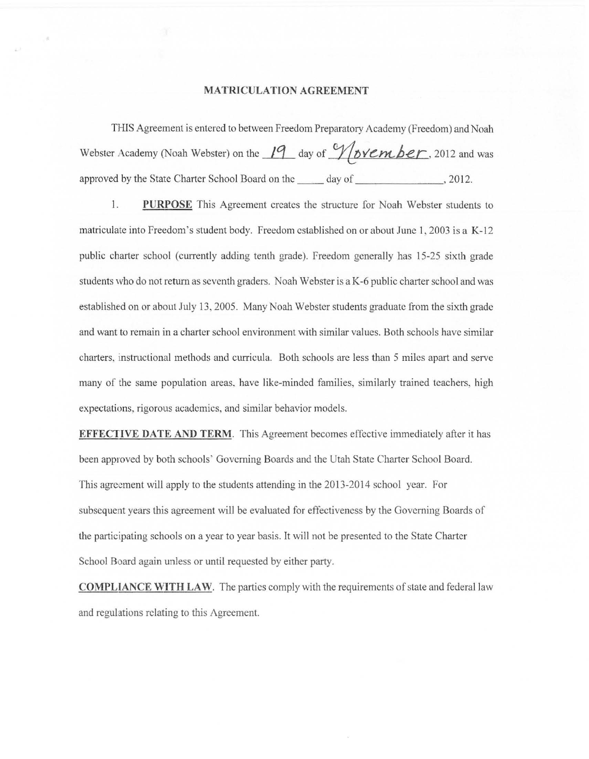## **MATRICULATION AGREEMENT**

THIS Agreement is entered to between Freedom Preparatory Academy (Freedom) and Noah Webster Academy (Noah Webster) on the 19 day of  $\sqrt{\text{overml}}$  **cy** 2012 and was approved by the State Charter School Board on the \_\_\_\_\_ day of \_\_\_\_\_\_\_\_\_\_\_\_\_\_\_\_, 2012.

1. **PURPOSE** This Agreement creates the structure for Noah Webster students to matriculate into Freedom's student body. Freedom established on or about June 1, 2003 is a K-12 public charter school (currently adding tenth grade). freedom generally has 15-25 sixth grade students who do not return as seventh graders. Noah Webster is a K-6 public charter school and was established on or about July 13,2005. Many Noah Webster students graduate from the sixth grade and want to remain in a charter school environment with similar values. Both schools have similar charters, instructional methods and curricula. Both schools arc less than 5 miles apart and serve many of the same population areas. have like-minded families, similarly trained teachers, high expectations, rigorous academics, and similar behavior models.

**EFFECTIVE DATE AND TERM.** This Agreement becomes effective immediately after it has been approved by both schools" Governing Boards and the Utah State Charter School Board. This agreement will apply to the students attending in the 2013-2014 school year. For subsequent years this agreement will be evaluated for effectiveness by the Governing Boards of the participating schools on a year to year basis. It will not be presented to the State Charter School Board again unless or until requested by either party.

**COMPLIANCE WITH LAW.** The parties comply with the requirements of state and federal law and regulations relating to this Agreement.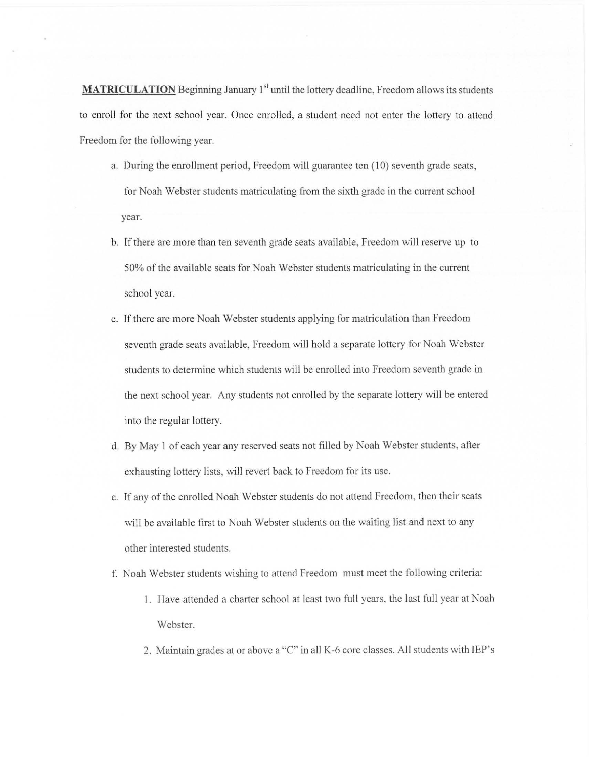**MATRICULATION** Beginning January 1<sup>st</sup> until the lottery deadline, Freedom allows its students to enroll for the next school year. Once enrolled, a student need not enter the lottery to attend Freedom for the following year.

- a. During the enrollment period, Freedom will guarantee ten (10) seventh grade seats, for Noah Webster students matriculating from the sixth grade in the current school year.
- b. If there are more than ten seventh grade seats available, Freedom will reserve up to 50% of the available scats for Noah Webster students matriculating in the current school year.
- c. If there are more Noah Webster students applying for matriculation than Freedom seventh grade seats available, Freedom will hold a separate lottery for Noah Webster students to determine which students will be enrolled into Freedom seventh grade in the next school year. Any students not enrolled by the separate lottery will be entered into the regular lottery.
- d. By May 1 of each year any reserved seats not fil led by Noah Webster students, after exhausting lottery lists, will revert back to Freedom for its use.
- c. If any of the enrolled Noah Webster students do not attend freedom, then their seats will be available first to Noah Webster students on the waiting list and next to any other interested students.
- f. Noah Webster students wishing to attend Freedom must meet the following criteria:
	- 1. Have attended a charter school at least two full years, the last full year at Noah Webster.
	- 2. Maintain grades at or above a "C" in all K-6 core classes. All students with IEP's